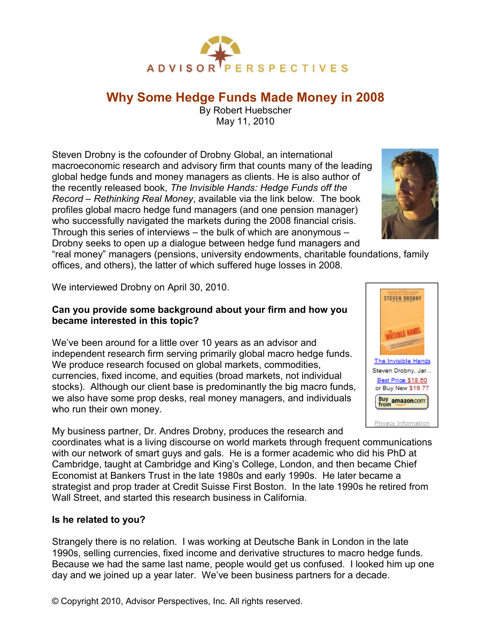

# **Why Some Hedge Funds Made Money in 2008**

By Robert Huebscher May 11, 2010

Steven Drobny is the cofounder of Drobny Global, an international macroeconomic research and advisory firm that counts many of the leading global hedge funds and money managers as clients. He is also author of the recently released book, *The Invisible Hands: Hedge Funds off the Record – Rethinking Real Money*, available via the link below. The book profiles global macro hedge fund managers (and one pension manager) who successfully navigated the markets during the 2008 financial crisis. Through this series of interviews – the bulk of which are anonymous – Drobny seeks to open up a dialogue between hedge fund managers and



"real money" managers (pensions, university endowments, charitable foundations, family offices, and others), the latter of which suffered huge losses in 2008.

We interviewed Drobny on April 30, 2010.

## **Can you provide some background about your firm and how you became interested in this topic?**

We've been around for a little over 10 years as an advisor and independent research firm serving primarily global macro hedge funds. We produce research focused on global markets, commodities, currencies, fixed income, and equities (broad markets, not individual stocks). Although our client base is predominantly the big macro funds, we also have some prop desks, real money managers, and individuals who run their own money.

My business partner, Dr. Andres Drobny, produces the research and coordinates what is a living discourse on world markets through frequent communications with our network of smart guys and gals. He is a former academic who did his PhD at Cambridge, taught at Cambridge and King's College, London, and then became Chief Economist at Bankers Trust in the late 1980s and early 1990s. He later became a strategist and prop trader at Credit Suisse First Boston. In the late 1990s he retired from Wall Street, and started this research business in California.

## **Is he related to you?**

Strangely there is no relation. I was working at Deutsche Bank in London in the late 1990s, selling currencies, fixed income and derivative structures to macro hedge funds. Because we had the same last name, people would get us confused. I looked him up one day and we joined up a year later. We've been business partners for a decade.



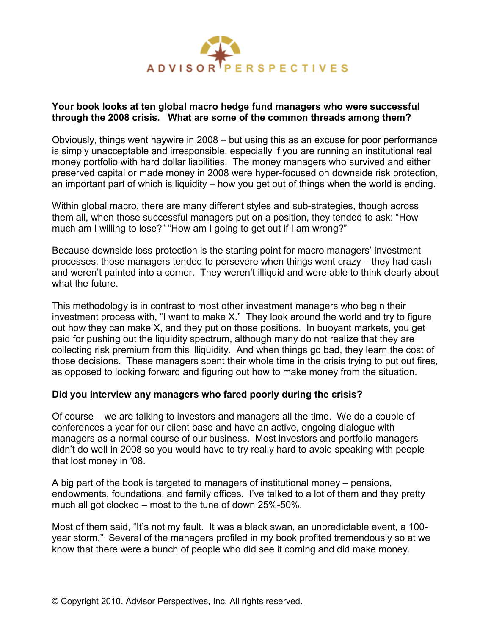

#### **Your book looks at ten global macro hedge fund managers who were successful through the 2008 crisis. What are some of the common threads among them?**

Obviously, things went haywire in 2008 – but using this as an excuse for poor performance is simply unacceptable and irresponsible, especially if you are running an institutional real money portfolio with hard dollar liabilities. The money managers who survived and either preserved capital or made money in 2008 were hyper-focused on downside risk protection, an important part of which is liquidity – how you get out of things when the world is ending.

Within global macro, there are many different styles and sub-strategies, though across them all, when those successful managers put on a position, they tended to ask: "How much am I willing to lose?" "How am I going to get out if I am wrong?"

Because downside loss protection is the starting point for macro managers' investment processes, those managers tended to persevere when things went crazy – they had cash and weren't painted into a corner. They weren't illiquid and were able to think clearly about what the future.

This methodology is in contrast to most other investment managers who begin their investment process with, "I want to make X." They look around the world and try to figure out how they can make X, and they put on those positions. In buoyant markets, you get paid for pushing out the liquidity spectrum, although many do not realize that they are collecting risk premium from this illiquidity. And when things go bad, they learn the cost of those decisions. These managers spent their whole time in the crisis trying to put out fires, as opposed to looking forward and figuring out how to make money from the situation.

## **Did you interview any managers who fared poorly during the crisis?**

Of course – we are talking to investors and managers all the time. We do a couple of conferences a year for our client base and have an active, ongoing dialogue with managers as a normal course of our business. Most investors and portfolio managers didn't do well in 2008 so you would have to try really hard to avoid speaking with people that lost money in '08.

A big part of the book is targeted to managers of institutional money – pensions, endowments, foundations, and family offices. I've talked to a lot of them and they pretty much all got clocked – most to the tune of down 25%-50%.

Most of them said, "It's not my fault. It was a black swan, an unpredictable event, a 100 year storm." Several of the managers profiled in my book profited tremendously so at we know that there were a bunch of people who did see it coming and did make money.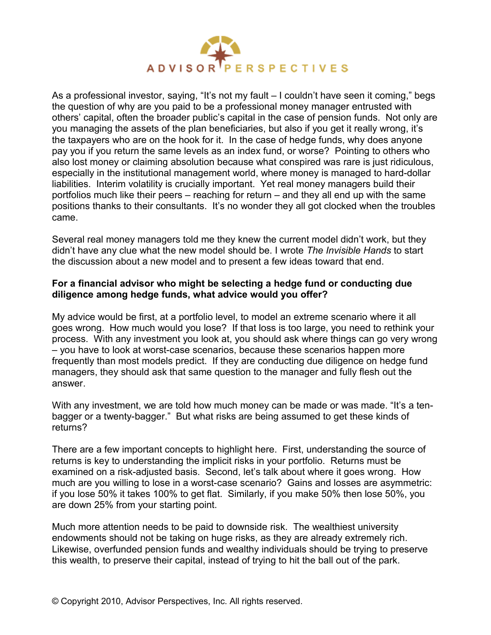

As a professional investor, saying, "It's not my fault – I couldn't have seen it coming," begs the question of why are you paid to be a professional money manager entrusted with others' capital, often the broader public's capital in the case of pension funds. Not only are you managing the assets of the plan beneficiaries, but also if you get it really wrong, it's the taxpayers who are on the hook for it. In the case of hedge funds, why does anyone pay you if you return the same levels as an index fund, or worse? Pointing to others who also lost money or claiming absolution because what conspired was rare is just ridiculous, especially in the institutional management world, where money is managed to hard-dollar liabilities. Interim volatility is crucially important. Yet real money managers build their portfolios much like their peers – reaching for return – and they all end up with the same positions thanks to their consultants. It's no wonder they all got clocked when the troubles came.

Several real money managers told me they knew the current model didn't work, but they didn't have any clue what the new model should be. I wrote *The Invisible Hands* to start the discussion about a new model and to present a few ideas toward that end.

## **For a financial advisor who might be selecting a hedge fund or conducting due diligence among hedge funds, what advice would you offer?**

My advice would be first, at a portfolio level, to model an extreme scenario where it all goes wrong. How much would you lose? If that loss is too large, you need to rethink your process. With any investment you look at, you should ask where things can go very wrong – you have to look at worst-case scenarios, because these scenarios happen more frequently than most models predict. If they are conducting due diligence on hedge fund managers, they should ask that same question to the manager and fully flesh out the answer.

With any investment, we are told how much money can be made or was made. "It's a tenbagger or a twenty-bagger." But what risks are being assumed to get these kinds of returns?

There are a few important concepts to highlight here. First, understanding the source of returns is key to understanding the implicit risks in your portfolio. Returns must be examined on a risk-adjusted basis. Second, let's talk about where it goes wrong. How much are you willing to lose in a worst-case scenario? Gains and losses are asymmetric: if you lose 50% it takes 100% to get flat. Similarly, if you make 50% then lose 50%, you are down 25% from your starting point.

Much more attention needs to be paid to downside risk. The wealthiest university endowments should not be taking on huge risks, as they are already extremely rich. Likewise, overfunded pension funds and wealthy individuals should be trying to preserve this wealth, to preserve their capital, instead of trying to hit the ball out of the park.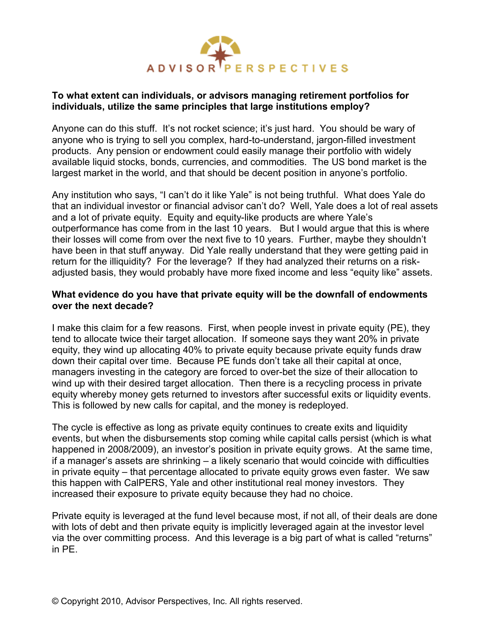

### **To what extent can individuals, or advisors managing retirement portfolios for individuals, utilize the same principles that large institutions employ?**

Anyone can do this stuff. It's not rocket science; it's just hard. You should be wary of anyone who is trying to sell you complex, hard-to-understand, jargon-filled investment products. Any pension or endowment could easily manage their portfolio with widely available liquid stocks, bonds, currencies, and commodities. The US bond market is the largest market in the world, and that should be decent position in anyone's portfolio.

Any institution who says, "I can't do it like Yale" is not being truthful. What does Yale do that an individual investor or financial advisor can't do? Well, Yale does a lot of real assets and a lot of private equity. Equity and equity-like products are where Yale's outperformance has come from in the last 10 years. But I would argue that this is where their losses will come from over the next five to 10 years. Further, maybe they shouldn't have been in that stuff anyway. Did Yale really understand that they were getting paid in return for the illiquidity? For the leverage? If they had analyzed their returns on a riskadjusted basis, they would probably have more fixed income and less "equity like" assets.

#### **What evidence do you have that private equity will be the downfall of endowments over the next decade?**

I make this claim for a few reasons. First, when people invest in private equity (PE), they tend to allocate twice their target allocation. If someone says they want 20% in private equity, they wind up allocating 40% to private equity because private equity funds draw down their capital over time. Because PE funds don't take all their capital at once, managers investing in the category are forced to over-bet the size of their allocation to wind up with their desired target allocation. Then there is a recycling process in private equity whereby money gets returned to investors after successful exits or liquidity events. This is followed by new calls for capital, and the money is redeployed.

The cycle is effective as long as private equity continues to create exits and liquidity events, but when the disbursements stop coming while capital calls persist (which is what happened in 2008/2009), an investor's position in private equity grows. At the same time, if a manager's assets are shrinking – a likely scenario that would coincide with difficulties in private equity – that percentage allocated to private equity grows even faster. We saw this happen with CalPERS, Yale and other institutional real money investors. They increased their exposure to private equity because they had no choice.

Private equity is leveraged at the fund level because most, if not all, of their deals are done with lots of debt and then private equity is implicitly leveraged again at the investor level via the over committing process. And this leverage is a big part of what is called "returns" in PE.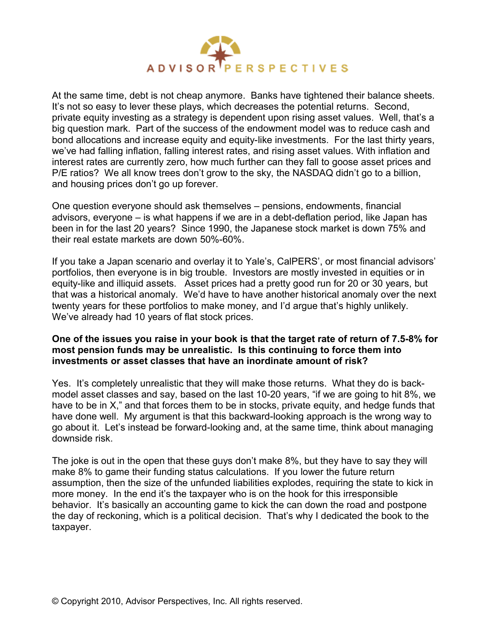

At the same time, debt is not cheap anymore. Banks have tightened their balance sheets. It's not so easy to lever these plays, which decreases the potential returns. Second, private equity investing as a strategy is dependent upon rising asset values. Well, that's a big question mark. Part of the success of the endowment model was to reduce cash and bond allocations and increase equity and equity-like investments. For the last thirty years, we've had falling inflation, falling interest rates, and rising asset values. With inflation and interest rates are currently zero, how much further can they fall to goose asset prices and P/E ratios? We all know trees don't grow to the sky, the NASDAQ didn't go to a billion, and housing prices don't go up forever.

One question everyone should ask themselves – pensions, endowments, financial advisors, everyone – is what happens if we are in a debt-deflation period, like Japan has been in for the last 20 years? Since 1990, the Japanese stock market is down 75% and their real estate markets are down 50%-60%.

If you take a Japan scenario and overlay it to Yale's, CalPERS', or most financial advisors' portfolios, then everyone is in big trouble. Investors are mostly invested in equities or in equity-like and illiquid assets. Asset prices had a pretty good run for 20 or 30 years, but that was a historical anomaly. We'd have to have another historical anomaly over the next twenty years for these portfolios to make money, and I'd argue that's highly unlikely. We've already had 10 years of flat stock prices.

### **One of the issues you raise in your book is that the target rate of return of 7.5-8% for most pension funds may be unrealistic. Is this continuing to force them into investments or asset classes that have an inordinate amount of risk?**

Yes. It's completely unrealistic that they will make those returns. What they do is backmodel asset classes and say, based on the last 10-20 years, "if we are going to hit 8%, we have to be in X," and that forces them to be in stocks, private equity, and hedge funds that have done well. My argument is that this backward-looking approach is the wrong way to go about it. Let's instead be forward-looking and, at the same time, think about managing downside risk.

The joke is out in the open that these guys don't make 8%, but they have to say they will make 8% to game their funding status calculations. If you lower the future return assumption, then the size of the unfunded liabilities explodes, requiring the state to kick in more money. In the end it's the taxpayer who is on the hook for this irresponsible behavior. It's basically an accounting game to kick the can down the road and postpone the day of reckoning, which is a political decision. That's why I dedicated the book to the taxpayer.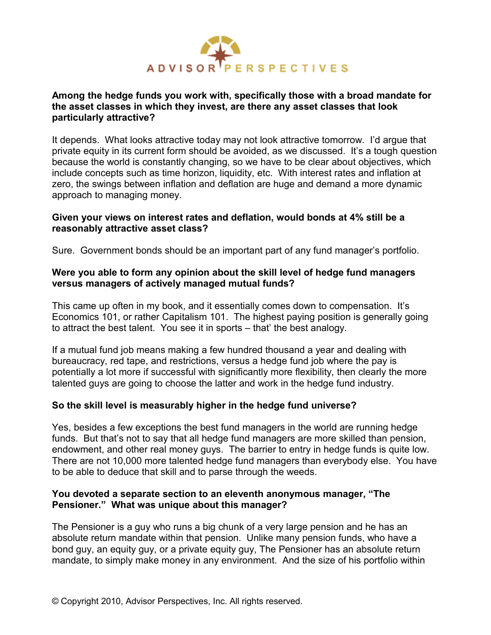

## **Among the hedge funds you work with, specifically those with a broad mandate for the asset classes in which they invest, are there any asset classes that look particularly attractive?**

It depends. What looks attractive today may not look attractive tomorrow. I'd argue that private equity in its current form should be avoided, as we discussed. It's a tough question because the world is constantly changing, so we have to be clear about objectives, which include concepts such as time horizon, liquidity, etc. With interest rates and inflation at zero, the swings between inflation and deflation are huge and demand a more dynamic approach to managing money.

### **Given your views on interest rates and deflation, would bonds at 4% still be a reasonably attractive asset class?**

Sure. Government bonds should be an important part of any fund manager's portfolio.

## **Were you able to form any opinion about the skill level of hedge fund managers versus managers of actively managed mutual funds?**

This came up often in my book, and it essentially comes down to compensation. It's Economics 101, or rather Capitalism 101. The highest paying position is generally going to attract the best talent. You see it in sports – that' the best analogy.

If a mutual fund job means making a few hundred thousand a year and dealing with bureaucracy, red tape, and restrictions, versus a hedge fund job where the pay is potentially a lot more if successful with significantly more flexibility, then clearly the more talented guys are going to choose the latter and work in the hedge fund industry.

## **So the skill level is measurably higher in the hedge fund universe?**

Yes, besides a few exceptions the best fund managers in the world are running hedge funds. But that's not to say that all hedge fund managers are more skilled than pension, endowment, and other real money guys. The barrier to entry in hedge funds is quite low. There are not 10,000 more talented hedge fund managers than everybody else. You have to be able to deduce that skill and to parse through the weeds.

#### **You devoted a separate section to an eleventh anonymous manager, "The Pensioner." What was unique about this manager?**

The Pensioner is a guy who runs a big chunk of a very large pension and he has an absolute return mandate within that pension. Unlike many pension funds, who have a bond guy, an equity guy, or a private equity guy, The Pensioner has an absolute return mandate, to simply make money in any environment. And the size of his portfolio within